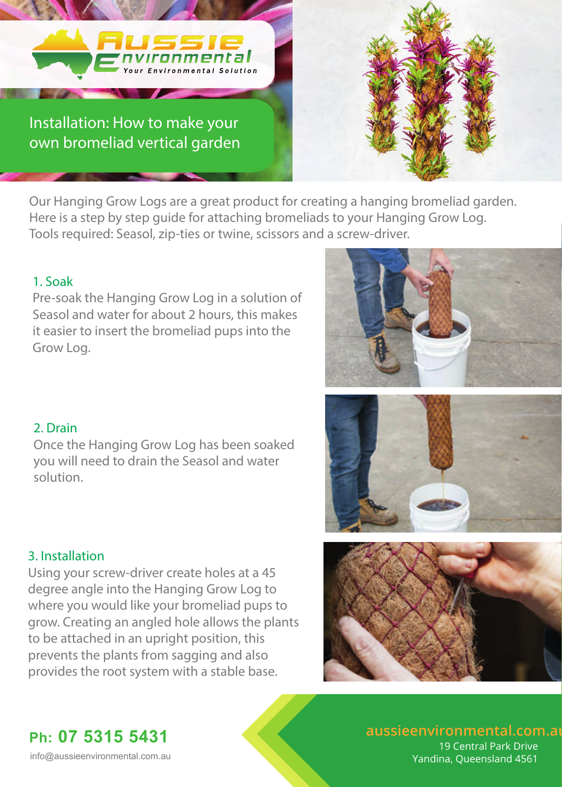

Our Hanging Grow Logs are a great product for creating a hanging bromeliad garden. Here is a step by step guide for attaching bromeliads to your Hanging Grow Log. Tools required: Seasol, zip-ties or twine, scissors and a screw-driver.

#### 1. Soak

Pre-soak the Hanging Grow Log in a solution of Seasol and water for about 2 hours, this makes it easier to insert the bromeliad pups into the Grow Log.

### 2. Drain

Once the Hanging Grow Log has been soaked you will need to drain the Seasol and water solution.

# 3. Installation

Using your screw-driver create holes at a 45 degree angle into the Hanging Grow Log to where you would like your bromeliad pups to grow. Creating an angled hole allows the plants to be attached in an upright position, this prevents the plants from sagging and also provides the root system with a stable base.







**aussieenvironmental.com.au Ph: 07 5315 5431**

 19 Central Park Drive info@aussieenvironmental.com.au Vandina, Queensland 4561